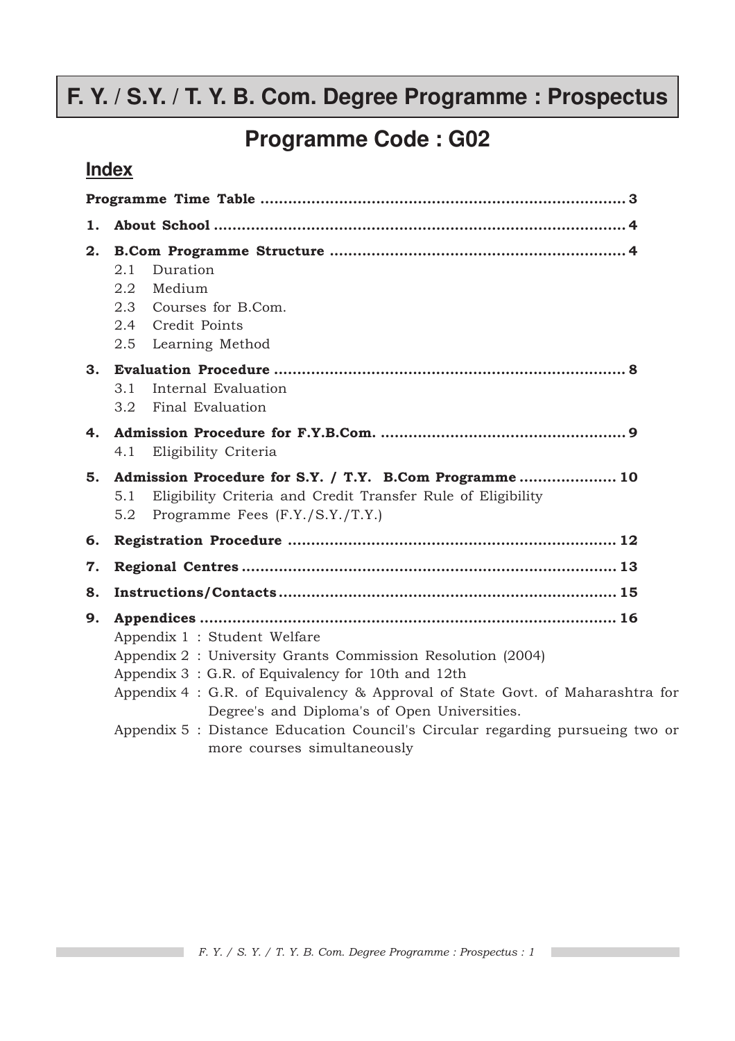# **F. Y. / S.Y. / T. Y. B. Com. Degree Programme : Prospectus**

**Programme Code : G02**

## **Index**

| 1. |                                                                                                                                                                                                                                                                                                                                                                                                  |
|----|--------------------------------------------------------------------------------------------------------------------------------------------------------------------------------------------------------------------------------------------------------------------------------------------------------------------------------------------------------------------------------------------------|
| 2. | Duration<br>2.1<br>2.2<br>Medium<br>2.3<br>Courses for B.Com.<br>2.4<br>Credit Points<br>Learning Method<br>2.5                                                                                                                                                                                                                                                                                  |
|    | 3.1<br>Internal Evaluation<br>Final Evaluation<br>3.2                                                                                                                                                                                                                                                                                                                                            |
| 4. | Eligibility Criteria<br>4.1                                                                                                                                                                                                                                                                                                                                                                      |
| 5. | Admission Procedure for S.Y. / T.Y. B.Com Programme 10<br>Eligibility Criteria and Credit Transfer Rule of Eligibility<br>5.1<br>Programme Fees (F.Y./S.Y./T.Y.)<br>5.2                                                                                                                                                                                                                          |
| 6. |                                                                                                                                                                                                                                                                                                                                                                                                  |
| 7. |                                                                                                                                                                                                                                                                                                                                                                                                  |
| 8. |                                                                                                                                                                                                                                                                                                                                                                                                  |
| 9. | Appendix 1 : Student Welfare<br>Appendix 2 : University Grants Commission Resolution (2004)<br>Appendix 3: G.R. of Equivalency for 10th and 12th<br>Appendix 4: G.R. of Equivalency & Approval of State Govt. of Maharashtra for<br>Degree's and Diploma's of Open Universities.<br>Appendix 5 : Distance Education Council's Circular regarding pursueing two or<br>more courses simultaneously |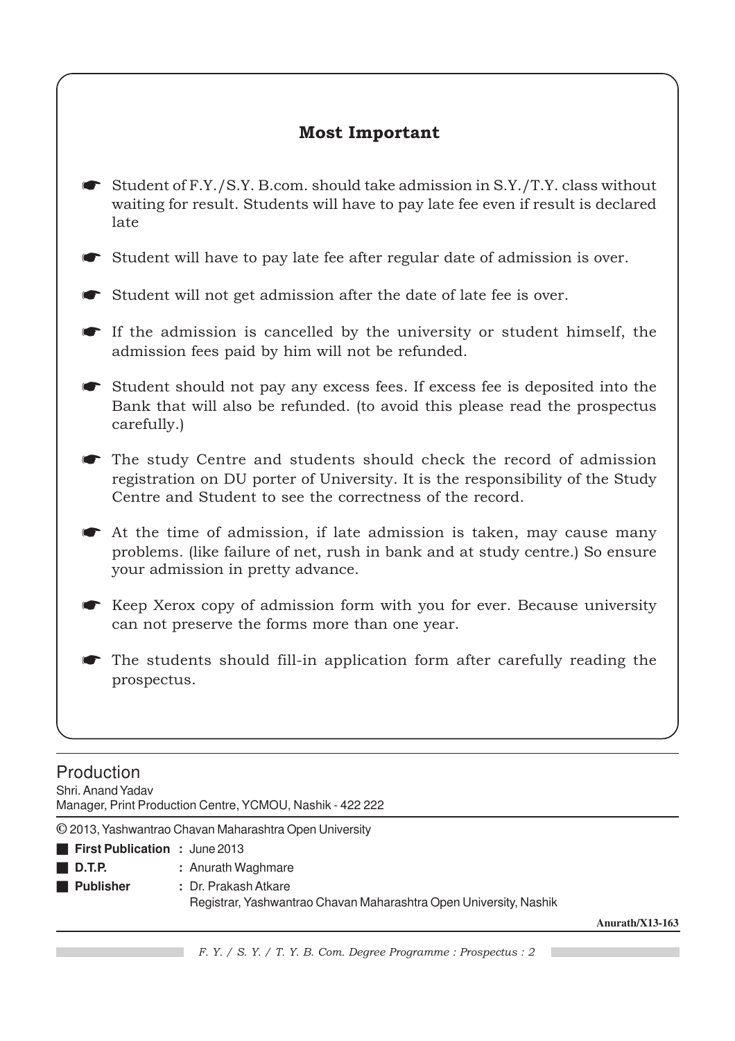### Most Important

Student of F.Y./S.Y. B.com. should take admission in S.Y./T.Y. class without waiting for result. Students will have to pay late fee even if result is declared late

Student will have to pay late fee after regular date of admission is over.

Student will not get admission after the date of late fee is over.

- ☛ If the admission is cancelled by the university or student himself, the admission fees paid by him will not be refunded.
- ☛ Student should not pay any excess fees. If excess fee is deposited into the Bank that will also be refunded. (to avoid this please read the prospectus carefully.)
- ☛ The study Centre and students should check the record of admission registration on DU porter of University. It is the responsibility of the Study Centre and Student to see the correctness of the record.
- At the time of admission, if late admission is taken, may cause many problems. (like failure of net, rush in bank and at study centre.) So ensure your admission in pretty advance.
- ☛ Keep Xerox copy of admission form with you for ever. Because university can not preserve the forms more than one year.
- The students should fill-in application form after carefully reading the prospectus.

### Production

Shri. Anand Yadav

Manager, Print Production Centre, YCMOU, Nashik - 422 222

**©** 2013, Yashwantrao Chavan Maharashtra Open University

- **First Publication :** June 2013
- 
- **D.T.P. :** Anurath Waghmare
- **Publisher :** Dr. Prakash Atkare Registrar, Yashwantrao Chavan Maharashtra Open University, Nashik

**Anurath/X13-163**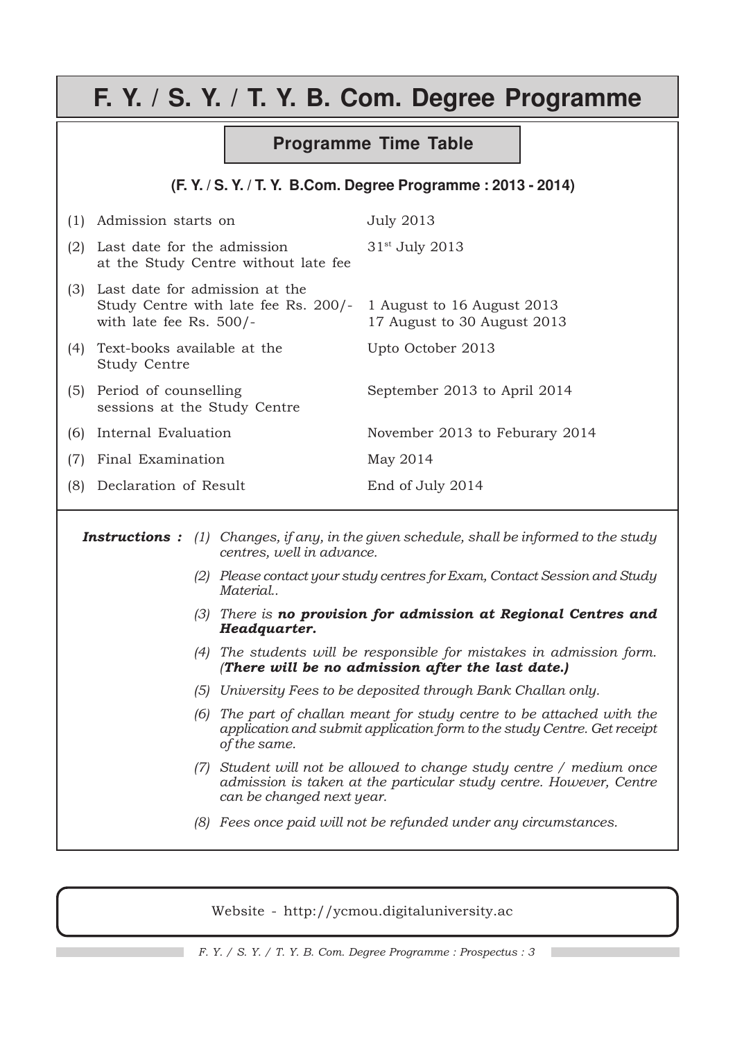# **F. Y. / S. Y. / T. Y. B. Com. Degree Programme**

#### **Programme Time Table**

#### **(F. Y. / S. Y. / T. Y. B.Com. Degree Programme : 2013 - 2014)**

| (1) | Admission starts on                                                                                                            | <b>July 2013</b>               |
|-----|--------------------------------------------------------------------------------------------------------------------------------|--------------------------------|
| (2) | Last date for the admission<br>at the Study Centre without late fee                                                            | 31 <sup>st</sup> July 2013     |
| (3) | Last date for admission at the<br>Study Centre with late fee Rs. 200/- 1 August to 16 August 2013<br>with late fee Rs. $500/-$ | 17 August to 30 August 2013    |
| (4) | Text-books available at the<br>Study Centre                                                                                    | Upto October 2013              |
| (5) | Period of counselling<br>sessions at the Study Centre                                                                          | September 2013 to April 2014   |
| (6) | Internal Evaluation                                                                                                            | November 2013 to Feburary 2014 |
| (7) | Final Examination                                                                                                              | May 2014                       |
| (8) | Declaration of Result                                                                                                          | End of July 2014               |

**Instructions :** (1) Changes, if any, in the given schedule, shall be informed to the study centres, well in advance.

- (2) Please contact your study centres for Exam, Contact Session and Study Material..
- (3) There is no provision for admission at Regional Centres and Headquarter.
- (4) The students will be responsible for mistakes in admission form. (There will be no admission after the last date.)
- (5) University Fees to be deposited through Bank Challan only.
- (6) The part of challan meant for study centre to be attached with the application and submit application form to the study Centre. Get receipt of the same.
- (7) Student will not be allowed to change study centre / medium once admission is taken at the particular study centre. However, Centre can be changed next year.
- (8) Fees once paid will not be refunded under any circumstances.

Website - http://ycmou.digitaluniversity.ac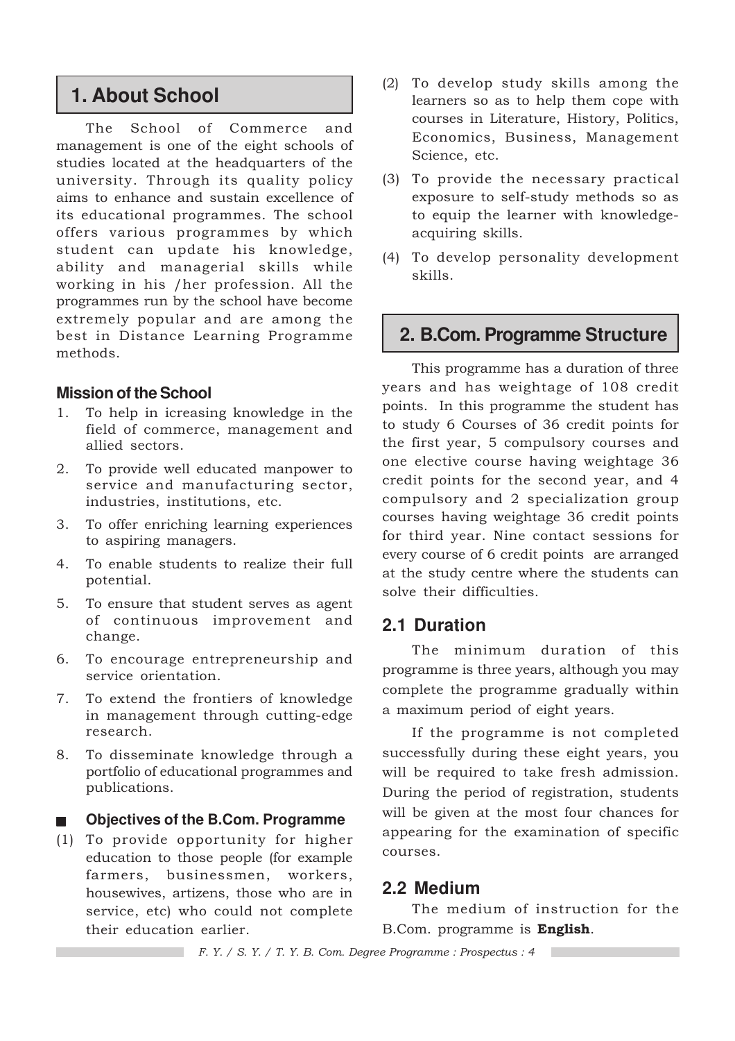## **1. About School**

The School of Commerce and management is one of the eight schools of studies located at the headquarters of the university. Through its quality policy aims to enhance and sustain excellence of its educational programmes. The school offers various programmes by which student can update his knowledge, ability and managerial skills while working in his /her profession. All the programmes run by the school have become extremely popular and are among the best in Distance Learning Programme methods.

#### **Mission of the School**

- 1. To help in icreasing knowledge in the field of commerce, management and allied sectors.
- 2. To provide well educated manpower to service and manufacturing sector, industries, institutions, etc.
- 3. To offer enriching learning experiences to aspiring managers.
- 4. To enable students to realize their full potential.
- 5. To ensure that student serves as agent of continuous improvement and change.
- 6. To encourage entrepreneurship and service orientation.
- 7. To extend the frontiers of knowledge in management through cutting-edge research.
- 8. To disseminate knowledge through a portfolio of educational programmes and publications.

#### **Objectives of the B.Com. Programme**

(1) To provide opportunity for higher education to those people (for example farmers, businessmen, workers, housewives, artizens, those who are in service, etc) who could not complete their education earlier.

- (2) To develop study skills among the learners so as to help them cope with courses in Literature, History, Politics, Economics, Business, Management Science, etc.
- (3) To provide the necessary practical exposure to self-study methods so as to equip the learner with knowledgeacquiring skills.
- (4) To develop personality development skills.

## **2. B.Com. Programme Structure**

This programme has a duration of three years and has weightage of 108 credit points. In this programme the student has to study 6 Courses of 36 credit points for the first year, 5 compulsory courses and one elective course having weightage 36 credit points for the second year, and 4 compulsory and 2 specialization group courses having weightage 36 credit points for third year. Nine contact sessions for every course of 6 credit points are arranged at the study centre where the students can solve their difficulties.

### **2.1 Duration**

The minimum duration of this programme is three years, although you may complete the programme gradually within a maximum period of eight years.

If the programme is not completed successfully during these eight years, you will be required to take fresh admission. During the period of registration, students will be given at the most four chances for appearing for the examination of specific courses.

#### **2.2 Medium**

The medium of instruction for the B.Com. programme is English.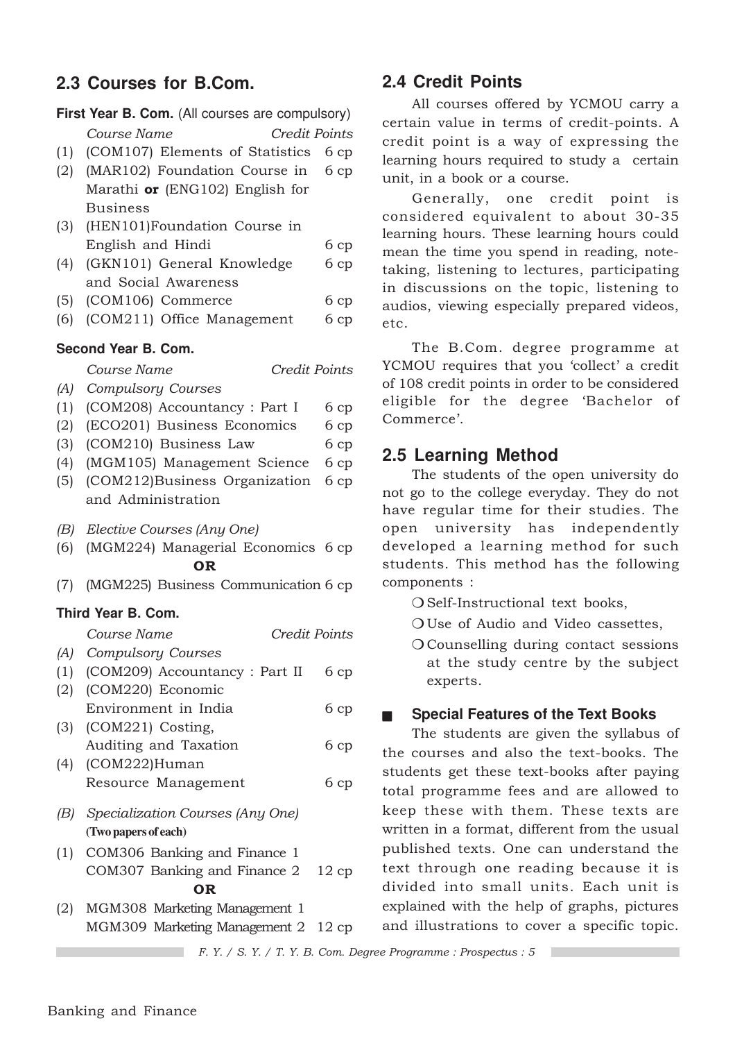### **2.3 Courses for B.Com.**

|     | First Year B. Com. (All courses are compulsory) |      |
|-----|-------------------------------------------------|------|
|     | Course Name<br><b>Credit Points</b>             |      |
| (1) | (COM107) Elements of Statistics                 | 6cp  |
| (2) | (MAR102) Foundation Course in                   | 6cp  |
|     | Marathi or (ENG102) English for                 |      |
|     | <b>Business</b>                                 |      |
| (3) | (HEN101)Foundation Course in                    |      |
|     | English and Hindi                               | 6cp  |
| (4) | (GKN101) General Knowledge                      | 6cp  |
|     | and Social Awareness                            |      |
| (5) | (COM106) Commerce                               | 6cp  |
| (6) | (COM211) Office Management                      | 6cp  |
|     | Second Year B. Com.                             |      |
|     | Credit Points<br>Course Name                    |      |
| (A) | <b>Compulsory Courses</b>                       |      |
| (1) | (COM208) Accountancy : Part I                   | 6cp  |
| (2) | (ECO201) Business Economics                     | 6cp  |
| (3) | (COM210) Business Law                           | 6cp  |
| (4) | (MGM105) Management Science                     | 6cp  |
| (5) | (COM212)Business Organization                   | 6cp  |
|     | and Administration                              |      |
| (B) | Elective Courses (Any One)                      |      |
| (6) | (MGM224) Managerial Economics 6 cp              |      |
|     | <b>OR</b>                                       |      |
| (7) | (MGM225) Business Communication 6 cp            |      |
|     | Third Year B. Com.                              |      |
|     | Course Name<br>Credit Points                    |      |
| (A) | <b>Compulsory Courses</b>                       |      |
| (1) | (COM209) Accountancy : Part II                  | 6cp  |
|     | (2) (COM220) Economic                           |      |
|     | Environment in India                            | 6cp  |
|     | (3) (COM221) Costing,                           |      |
|     | Auditing and Taxation                           | 6cp  |
| (4) | (COM222)Human                                   |      |
|     | Resource Management                             | 6cp  |
|     | (B) Specialization Courses (Any One)            |      |
|     | (Two papers of each)                            |      |
| (1) | COM306 Banking and Finance 1                    |      |
|     | COM307 Banking and Finance 2                    | 12cp |
|     | <b>OR</b>                                       |      |
| (2) | MGM308 Marketing Management 1                   |      |
|     | MGM309 Marketing Management 2 12 cp             |      |

### **2.4 Credit Points**

All courses offered by YCMOU carry a certain value in terms of credit-points. A credit point is a way of expressing the learning hours required to study a certain unit, in a book or a course.

Generally, one credit point is considered equivalent to about 30-35 learning hours. These learning hours could mean the time you spend in reading, notetaking, listening to lectures, participating in discussions on the topic, listening to audios, viewing especially prepared videos, etc.

The B.Com. degree programme at YCMOU requires that you 'collect' a credit of 108 credit points in order to be considered eligible for the degree 'Bachelor of Commerce'.

### **2.5 Learning Method**

The students of the open university do not go to the college everyday. They do not have regular time for their studies. The open university has independently developed a learning method for such students. This method has the following components :

O Self-Instructional text books,

❍ Use of Audio and Video cassettes,

❍ Counselling during contact sessions at the study centre by the subject experts.

#### ■ **Special Features of the Text Books**

The students are given the syllabus of the courses and also the text-books. The students get these text-books after paying total programme fees and are allowed to keep these with them. These texts are written in a format, different from the usual published texts. One can understand the text through one reading because it is divided into small units. Each unit is explained with the help of graphs, pictures and illustrations to cover a specific topic.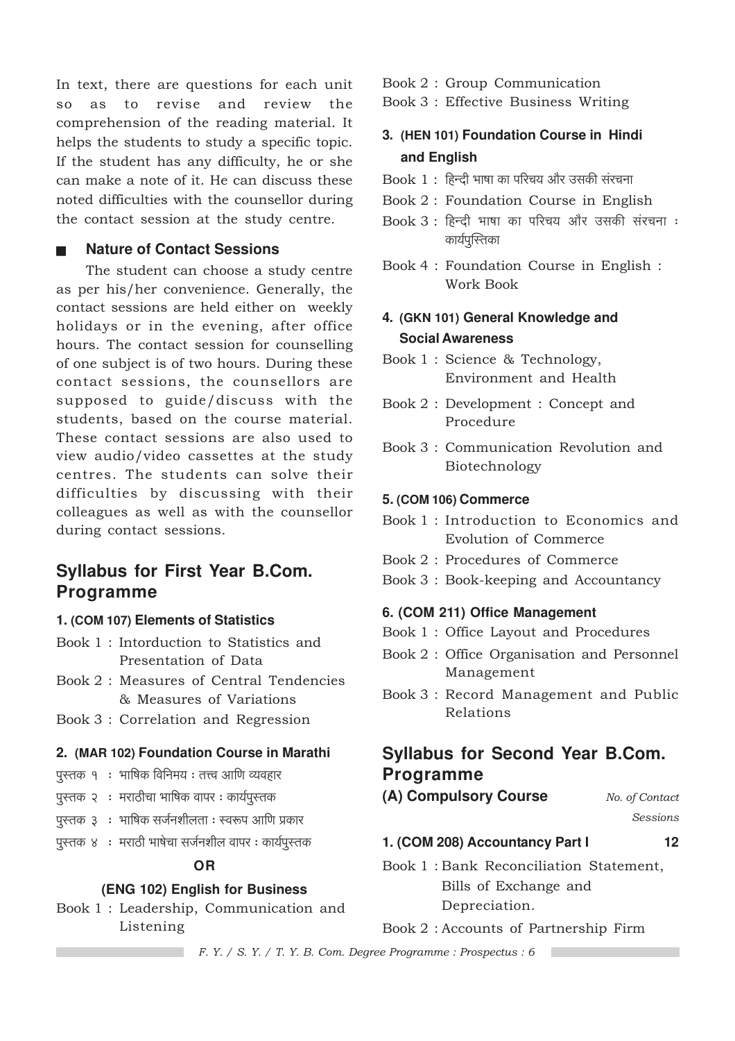In text, there are questions for each unit so as to revise and review the comprehension of the reading material. It helps the students to study a specific topic. If the student has any difficulty, he or she can make a note of it. He can discuss these noted difficulties with the counsellor during the contact session at the study centre.

#### **Nature of Contact Sessions**

The student can choose a study centre as per his/her convenience. Generally, the contact sessions are held either on weekly holidays or in the evening, after office hours. The contact session for counselling of one subject is of two hours. During these contact sessions, the counsellors are supposed to guide/discuss with the students, based on the course material. These contact sessions are also used to view audio/video cassettes at the study centres. The students can solve their difficulties by discussing with their colleagues as well as with the counsellor during contact sessions.

### **Syllabus for First Year B.Com. Programme**

#### 1. (COM 107) Elements of Statistics

- Book 1: Intorduction to Statistics and Presentation of Data
- Book 2: Measures of Central Tendencies & Measures of Variations
- Book 3 : Correlation and Regression

#### 2. (MAR 102) Foundation Course in Marathi

- पुस्तक १ : भाषिक विनिमय : तत्त्व आणि व्यवहार
- पुस्तक २ : मराठीचा भाषिक वापर : कार्यपुस्तक
- पुस्तक ३ ः भाषिक सर्जनशीलता ः स्वरूप आणि प्रकार
- पुस्तक ४ : मराठी भाषेचा सर्जनशील वापर: कार्यपुस्तक

#### **OR**

#### (ENG 102) English for Business

Book 1: Leadership, Communication and Listening

Book 2: Group Communication

Book 3 : Effective Business Writing

### 3. (HEN 101) Foundation Course in Hindi and English

- Book 1: हिन्दी भाषा का परिचय और उसकी संरचना
- Book 2: Foundation Course in English
- Book 3 : हिन्दी भाषा का परिचय और उसकी संरचना : कार्यपुस्तिका
- Book 4 : Foundation Course in English : Work Book

### 4. (GKN 101) General Knowledge and **Social Awareness**

- Book 1 : Science & Technology, Environment and Health
- Book 2: Development: Concept and Procedure
- Book 3: Communication Revolution and Biotechnology

#### 5. (COM 106) Commerce

- Book 1: Introduction to Economics and Evolution of Commerce
- Book 2: Procedures of Commerce
- Book 3: Book-keeping and Accountancy

#### 6. (COM 211) Office Management

- Book 1: Office Layout and Procedures
- Book 2 : Office Organisation and Personnel Management
- Book 3: Record Management and Public Relations

### **Syllabus for Second Year B.Com. Programme**

(A) Compulsory Course No. of Contact

**Sessions** 

 $12$ 

#### 1. (COM 208) Accountancy Part I

Book 1: Bank Reconciliation Statement, Bills of Exchange and Depreciation.

Book 2: Accounts of Partnership Firm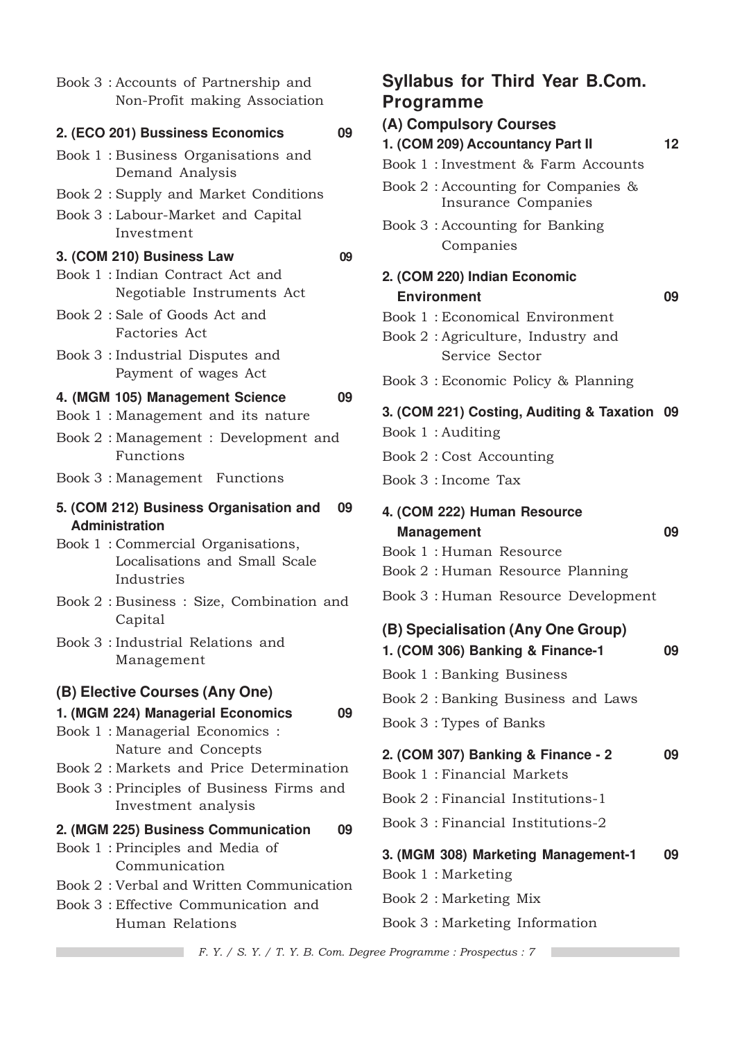| Book 3 : Accounts of Partnership and<br>Non-Profit making Association            |
|----------------------------------------------------------------------------------|
| 2. (ECO 201) Bussiness Economics<br>09                                           |
| Book 1: Business Organisations and<br>Demand Analysis                            |
| Book 2: Supply and Market Conditions                                             |
| Book 3 : Labour-Market and Capital<br>Investment                                 |
| 3. (COM 210) Business Law<br>09                                                  |
| Book 1 : Indian Contract Act and<br>Negotiable Instruments Act                   |
| Book 2: Sale of Goods Act and<br><b>Factories Act</b>                            |
| Book 3 : Industrial Disputes and<br>Payment of wages Act                         |
| 4. (MGM 105) Management Science<br>09<br>Book 1 : Management and its nature      |
| Book 2: Management: Development and<br>Functions                                 |
| Book 3 : Management Functions                                                    |
| 5. (COM 212) Business Organisation and<br>09<br><b>Administration</b>            |
| Book 1: Commercial Organisations,<br>Localisations and Small Scale<br>Industries |
| Book 2: Business: Size, Combination and<br>Capital                               |
| Book 3 : Industrial Relations and<br>Management                                  |
| (B) Elective Courses (Any One)                                                   |
| 1. (MGM 224) Managerial Economics<br>09                                          |
| Book 1 : Managerial Economics :<br>Nature and Concepts                           |
| Book 2: Markets and Price Determination                                          |
| Book 3 : Principles of Business Firms and<br>Investment analysis                 |
| 2. (MGM 225) Business Communication<br>09                                        |
| Book 1: Principles and Media of<br>Communication                                 |
| Book 2: Verbal and Written Communication                                         |
| Book 3 : Effective Communication and<br>Human Relations                          |
|                                                                                  |

## **Syllabus for Third Year B.Com. Programme (A) Compulsory Courses**

| 1. (COM 209) Accountancy Part II                                       | 12 |
|------------------------------------------------------------------------|----|
| Book 1 : Investment & Farm Accounts                                    |    |
| Book $2:$ Accounting for Companies &<br>Insurance Companies            |    |
| Book 3 : Accounting for Banking<br>Companies                           |    |
| 2. (COM 220) Indian Economic                                           |    |
| <b>Environment</b>                                                     | 09 |
| Book 1: Economical Environment                                         |    |
| Book 2: Agriculture, Industry and<br>Service Sector                    |    |
| Book 3 : Economic Policy & Planning                                    |    |
| 3. (COM 221) Costing, Auditing & Taxation 09                           |    |
| Book 1: Auditing                                                       |    |
| Book 2: Cost Accounting                                                |    |
| Book 3 : Income Tax                                                    |    |
| 4. (COM 222) Human Resource                                            |    |
| <b>Management</b><br>Book 1: Human Resource                            | 09 |
| Book 2: Human Resource Planning                                        |    |
|                                                                        |    |
| Book 3 : Human Resource Development                                    |    |
|                                                                        |    |
| (B) Specialisation (Any One Group)<br>1. (COM 306) Banking & Finance-1 | 09 |
| Book 1: Banking Business                                               |    |
| Book 2: Banking Business and Laws                                      |    |
| Book 3: Types of Banks                                                 |    |
| 2. (COM 307) Banking & Finance - 2                                     | 09 |
| Book 1 : Financial Markets                                             |    |
| Book 2: Financial Institutions-1                                       |    |
| Book 3 : Financial Institutions-2                                      |    |
| 3. (MGM 308) Marketing Management-1                                    | 09 |
| Book 1: Marketing<br>Book 2: Marketing Mix                             |    |

Book 3 : Marketing Information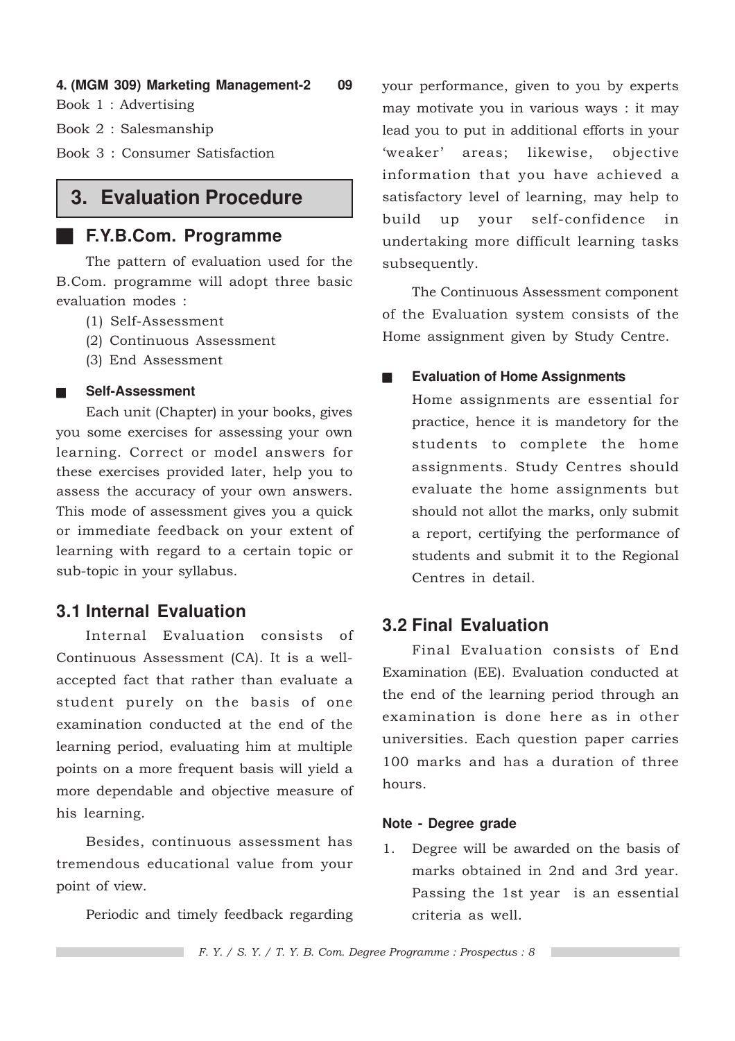**4. (MGM 309) Marketing Management-2 09**

Book 1 : Advertising

Book 2 : Salesmanship

Book 3 : Consumer Satisfaction

## **3. Evaluation Procedure**

### ■ **F.Y.B.Com. Programme**

The pattern of evaluation used for the B.Com. programme will adopt three basic evaluation modes :

- (1) Self-Assessment
- (2) Continuous Assessment
- (3) End Assessment

#### ■ **Self-Assessment**

Each unit (Chapter) in your books, gives you some exercises for assessing your own learning. Correct or model answers for these exercises provided later, help you to assess the accuracy of your own answers. This mode of assessment gives you a quick or immediate feedback on your extent of learning with regard to a certain topic or sub-topic in your syllabus.

### **3.1 Internal Evaluation**

Internal Evaluation consists of Continuous Assessment (CA). It is a wellaccepted fact that rather than evaluate a student purely on the basis of one examination conducted at the end of the learning period, evaluating him at multiple points on a more frequent basis will yield a more dependable and objective measure of his learning.

Besides, continuous assessment has tremendous educational value from your point of view.

Periodic and timely feedback regarding

your performance, given to you by experts may motivate you in various ways : it may lead you to put in additional efforts in your 'weaker' areas; likewise, objective information that you have achieved a satisfactory level of learning, may help to build up your self-confidence in undertaking more difficult learning tasks subsequently.

The Continuous Assessment component of the Evaluation system consists of the Home assignment given by Study Centre.

#### **Evaluation of Home Assignments**

Home assignments are essential for practice, hence it is mandetory for the students to complete the home assignments. Study Centres should evaluate the home assignments but should not allot the marks, only submit a report, certifying the performance of students and submit it to the Regional Centres in detail.

### **3.2 Final Evaluation**

Final Evaluation consists of End Examination (EE). Evaluation conducted at the end of the learning period through an examination is done here as in other universities. Each question paper carries 100 marks and has a duration of three hours.

#### **Note - Degree grade**

1. Degree will be awarded on the basis of marks obtained in 2nd and 3rd year. Passing the 1st year is an essential criteria as well.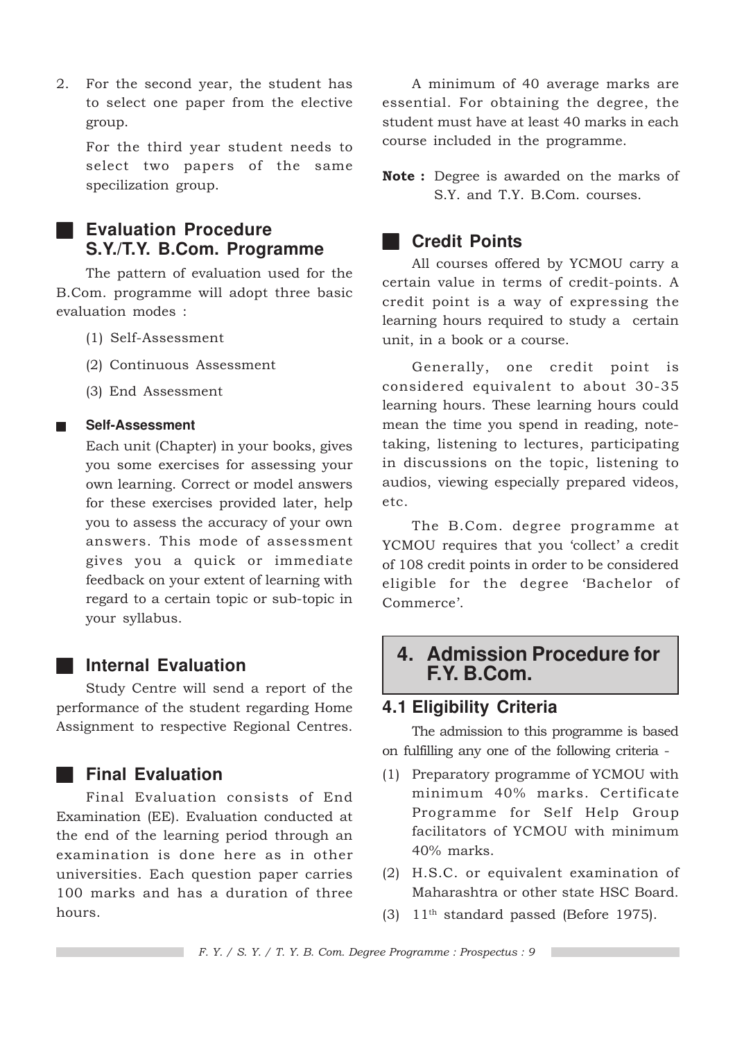2. For the second year, the student has to select one paper from the elective group.

For the third year student needs to select two papers of the same specilization group.

### ■ **Evaluation Procedure S.Y./T.Y. B.Com. Programme**

The pattern of evaluation used for the B.Com. programme will adopt three basic evaluation modes :

- (1) Self-Assessment
- (2) Continuous Assessment
- (3) End Assessment

#### ■ **Self-Assessment**

Each unit (Chapter) in your books, gives you some exercises for assessing your own learning. Correct or model answers for these exercises provided later, help you to assess the accuracy of your own answers. This mode of assessment gives you a quick or immediate feedback on your extent of learning with regard to a certain topic or sub-topic in your syllabus.

### ■ **Internal Evaluation**

Study Centre will send a report of the performance of the student regarding Home Assignment to respective Regional Centres.

### ■ **Final Evaluation**

Final Evaluation consists of End Examination (EE). Evaluation conducted at the end of the learning period through an examination is done here as in other universities. Each question paper carries 100 marks and has a duration of three hours.

A minimum of 40 average marks are essential. For obtaining the degree, the student must have at least 40 marks in each course included in the programme.

**Note**: Degree is awarded on the marks of S.Y. and T.Y. B.Com. courses.

### ■ **Credit Points**

All courses offered by YCMOU carry a certain value in terms of credit-points. A credit point is a way of expressing the learning hours required to study a certain unit, in a book or a course.

Generally, one credit point is considered equivalent to about 30-35 learning hours. These learning hours could mean the time you spend in reading, notetaking, listening to lectures, participating in discussions on the topic, listening to audios, viewing especially prepared videos, etc.

The B.Com. degree programme at YCMOU requires that you 'collect' a credit of 108 credit points in order to be considered eligible for the degree 'Bachelor of Commerce'.

### **4. Admission Procedure for F.Y. B.Com.**

### **4.1 Eligibility Criteria**

The admission to this programme is based on fulfilling any one of the following criteria -

- (1) Preparatory programme of YCMOU with minimum 40% marks. Certificate Programme for Self Help Group facilitators of YCMOU with minimum 40% marks.
- (2) H.S.C. or equivalent examination of Maharashtra or other state HSC Board.
- $(3)$  11<sup>th</sup> standard passed (Before 1975).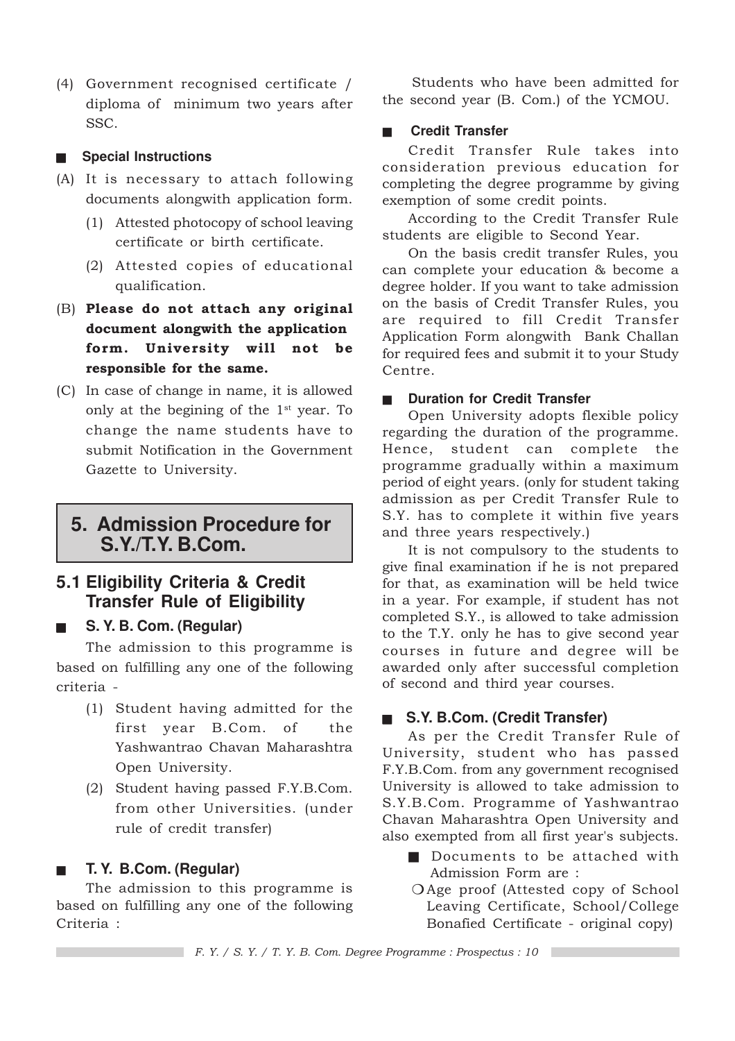(4) Government recognised certificate / diploma of minimum two years after SSC.

#### ■ **Special Instructions**

- (A) It is necessary to attach following documents alongwith application form.
	- (1) Attested photocopy of school leaving certificate or birth certificate.
	- (2) Attested copies of educational qualification.
- (B) Please do not attach any original document alongwith the application form. University will not be responsible for the same.
- (C) In case of change in name, it is allowed only at the begining of the  $1<sup>st</sup>$  year. To change the name students have to submit Notification in the Government Gazette to University.

### **5. Admission Procedure for S.Y./T.Y. B.Com.**

### **5.1 Eligibility Criteria & Credit Transfer Rule of Eligibility**

■ **S. Y. B. Com. (Regular)**

The admission to this programme is based on fulfilling any one of the following criteria -

- (1) Student having admitted for the first year B.Com. of the Yashwantrao Chavan Maharashtra Open University.
- (2) Student having passed F.Y.B.Com. from other Universities. (under rule of credit transfer)

### ■ **T. Y. B.Com. (Regular)**

The admission to this programme is based on fulfilling any one of the following Criteria :

Students who have been admitted for the second year (B. Com.) of the YCMOU.

#### ■ **Credit Transfer**

Credit Transfer Rule takes into consideration previous education for completing the degree programme by giving exemption of some credit points.

According to the Credit Transfer Rule students are eligible to Second Year.

On the basis credit transfer Rules, you can complete your education & become a degree holder. If you want to take admission on the basis of Credit Transfer Rules, you are required to fill Credit Transfer Application Form alongwith Bank Challan for required fees and submit it to your Study Centre.

#### **Duration for Credit Transfer**

Open University adopts flexible policy regarding the duration of the programme. Hence, student can complete the programme gradually within a maximum period of eight years. (only for student taking admission as per Credit Transfer Rule to S.Y. has to complete it within five years and three years respectively.)

It is not compulsory to the students to give final examination if he is not prepared for that, as examination will be held twice in a year. For example, if student has not completed S.Y., is allowed to take admission to the T.Y. only he has to give second year courses in future and degree will be awarded only after successful completion of second and third year courses.

#### ■ **S.Y. B.Com. (Credit Transfer)**

As per the Credit Transfer Rule of University, student who has passed F.Y.B.Com. from any government recognised University is allowed to take admission to S.Y.B.Com. Programme of Yashwantrao Chavan Maharashtra Open University and also exempted from all first year's subjects.

- Documents to be attached with Admission Form are :
- ❍ Age proof (Attested copy of School Leaving Certificate, School/College Bonafied Certificate - original copy)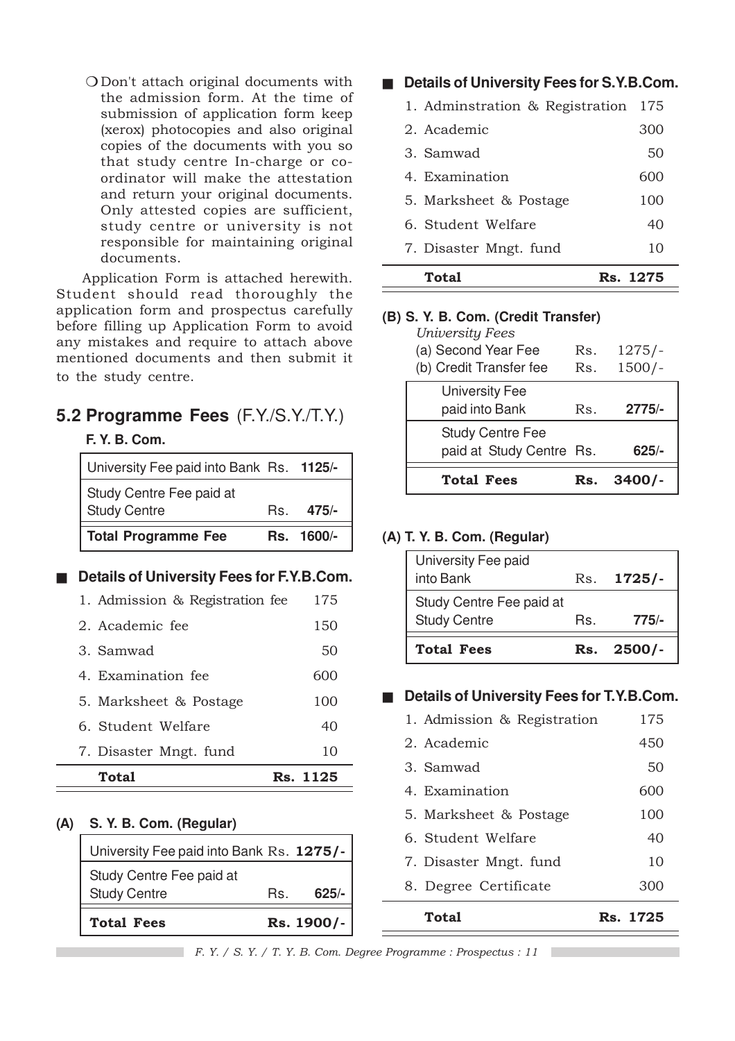❍ Don't attach original documents with the admission form. At the time of submission of application form keep (xerox) photocopies and also original copies of the documents with you so that study centre In-charge or coordinator will make the attestation and return your original documents. Only attested copies are sufficient, study centre or university is not responsible for maintaining original documents.

Application Form is attached herewith. Student should read thoroughly the application form and prospectus carefully before filling up Application Form to avoid any mistakes and require to attach above mentioned documents and then submit it to the study centre.

## **5.2 Programme Fees** (F.Y./S.Y./T.Y.)

#### **F. Y. B. Com.**

| <b>Total Programme Fee</b>               | Rs. 1600/- |
|------------------------------------------|------------|
| <b>Study Centre</b>                      | $Rs$ 475/- |
| Study Centre Fee paid at                 |            |
| University Fee paid into Bank Rs. 1125/- |            |

#### ■ **Details of University Fees for F.Y.B.Com.**

| Total                           | Rs. 1125 |
|---------------------------------|----------|
| 7. Disaster Mngt. fund          | 10       |
| 6. Student Welfare              | 40       |
| 5. Marksheet & Postage          | 100      |
| 4. Examination fee              | 600      |
| 3. Samwad                       | 50       |
| 2. Academic fee                 | 150      |
| 1. Admission & Registration fee | 175      |

#### **(A) S. Y. B. Com. (Regular)**

| <b>Total Fees</b>                               |     | Rs. 1900/- |
|-------------------------------------------------|-----|------------|
| Study Centre Fee paid at<br><b>Study Centre</b> | Rs. | $625/-$    |
| University Fee paid into Bank Rs. 1275/-        |     |            |

#### ■ **Details of University Fees for S.Y.B.Com.**

| 1. Adminstration & Registration | 175      |
|---------------------------------|----------|
| 2. Academic                     | 300      |
| 3. Samwad                       | 50       |
| 4. Examination                  | 600      |
| 5. Marksheet & Postage          | 100      |
| 6. Student Welfare              | 40       |
| 7. Disaster Mngt. fund          | 10       |
| Total                           | Rs. 1275 |

#### **(B) S. Y. B. Com. (Credit Transfer)**

| <b>University Fees</b><br>(a) Second Year Fee<br>(b) Credit Transfer fee | Rs.<br>Rs. | $1275/-$<br>$1500/-$ |
|--------------------------------------------------------------------------|------------|----------------------|
| <b>University Fee</b><br>paid into Bank                                  | Rs.        | $2775/-$             |
| <b>Study Centre Fee</b><br>paid at Study Centre Rs.                      |            | $625/-$              |
| <b>Total Fees</b>                                                        |            | $3400/-$             |

#### **(A) T. Y. B. Com. (Regular)**

| University Fee paid<br>into Bank |     | Rs. 1725/- |
|----------------------------------|-----|------------|
| Study Centre Fee paid at         |     |            |
| <b>Study Centre</b>              | Rs. | $775/-$    |
| <b>Total Fees</b>                |     | Rs. 2500/- |

#### ■ **Details of University Fees for T.Y.B.Com.**

| Total                       | Rs. 1725 |
|-----------------------------|----------|
| 8. Degree Certificate       | 300      |
| 7. Disaster Mngt. fund      | 10       |
| 6. Student Welfare          | 40       |
| 5. Marksheet & Postage      | 100      |
| 4. Examination              | 600      |
| 3. Samwad                   | 50       |
| 2. Academic                 | 450      |
| 1. Admission & Registration | 175      |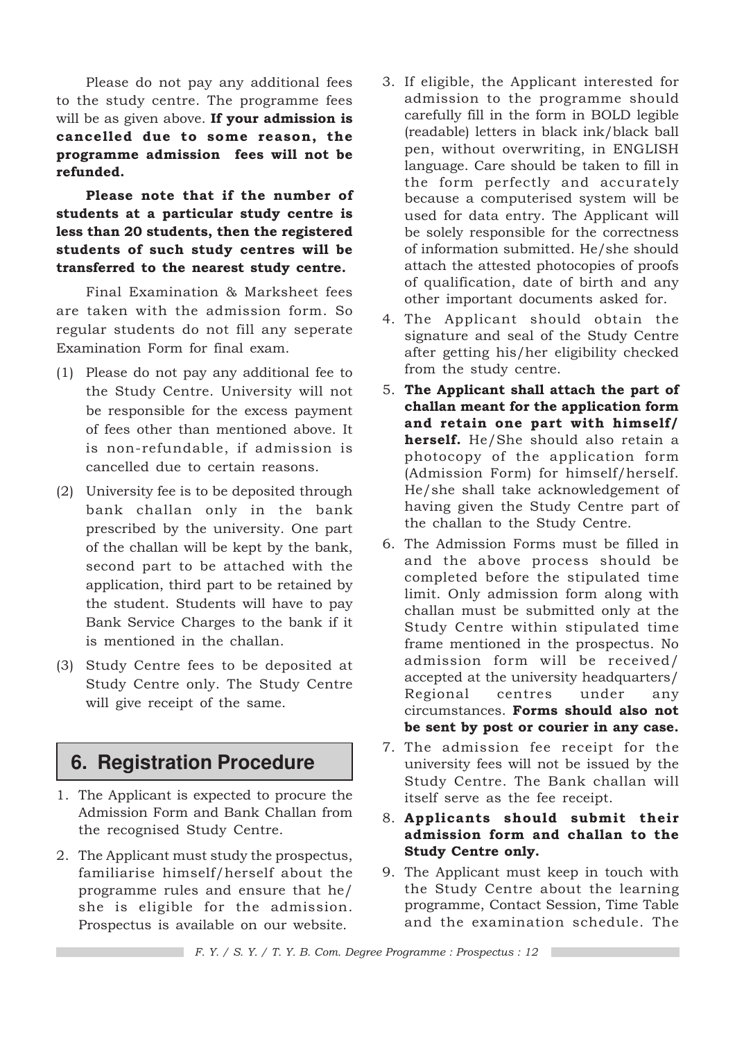Please do not pay any additional fees to the study centre. The programme fees will be as given above. If your admission is cancelled due to some reason, the programme admission fees will not be refunded.

Please note that if the number of students at a particular study centre is less than 20 students, then the registered students of such study centres will be transferred to the nearest study centre.

Final Examination & Marksheet fees are taken with the admission form. So regular students do not fill any seperate Examination Form for final exam.

- (1) Please do not pay any additional fee to the Study Centre. University will not be responsible for the excess payment of fees other than mentioned above. It is non-refundable, if admission is cancelled due to certain reasons.
- (2) University fee is to be deposited through bank challan only in the bank prescribed by the university. One part of the challan will be kept by the bank, second part to be attached with the application, third part to be retained by the student. Students will have to pay Bank Service Charges to the bank if it is mentioned in the challan.
- (3) Study Centre fees to be deposited at Study Centre only. The Study Centre will give receipt of the same.

### **6. Registration Procedure**

- 1. The Applicant is expected to procure the Admission Form and Bank Challan from the recognised Study Centre.
- 2. The Applicant must study the prospectus, familiarise himself/herself about the programme rules and ensure that he/ she is eligible for the admission. Prospectus is available on our website.
- 3. If eligible, the Applicant interested for admission to the programme should carefully fill in the form in BOLD legible (readable) letters in black ink/black ball pen, without overwriting, in ENGLISH language. Care should be taken to fill in the form perfectly and accurately because a computerised system will be used for data entry. The Applicant will be solely responsible for the correctness of information submitted. He/she should attach the attested photocopies of proofs of qualification, date of birth and any other important documents asked for.
- 4. The Applicant should obtain the signature and seal of the Study Centre after getting his/her eligibility checked from the study centre.
- 5. The Applicant shall attach the part of challan meant for the application form and retain one part with himself/ herself. He/She should also retain a photocopy of the application form (Admission Form) for himself/herself. He/she shall take acknowledgement of having given the Study Centre part of the challan to the Study Centre.
- 6. The Admission Forms must be filled in and the above process should be completed before the stipulated time limit. Only admission form along with challan must be submitted only at the Study Centre within stipulated time frame mentioned in the prospectus. No admission form will be received/ accepted at the university headquarters/ Regional centres under any circumstances. Forms should also not be sent by post or courier in any case.
- 7. The admission fee receipt for the university fees will not be issued by the Study Centre. The Bank challan will itself serve as the fee receipt.
- 8. Applicants should submit their admission form and challan to the Study Centre only.
- 9. The Applicant must keep in touch with the Study Centre about the learning programme, Contact Session, Time Table and the examination schedule. The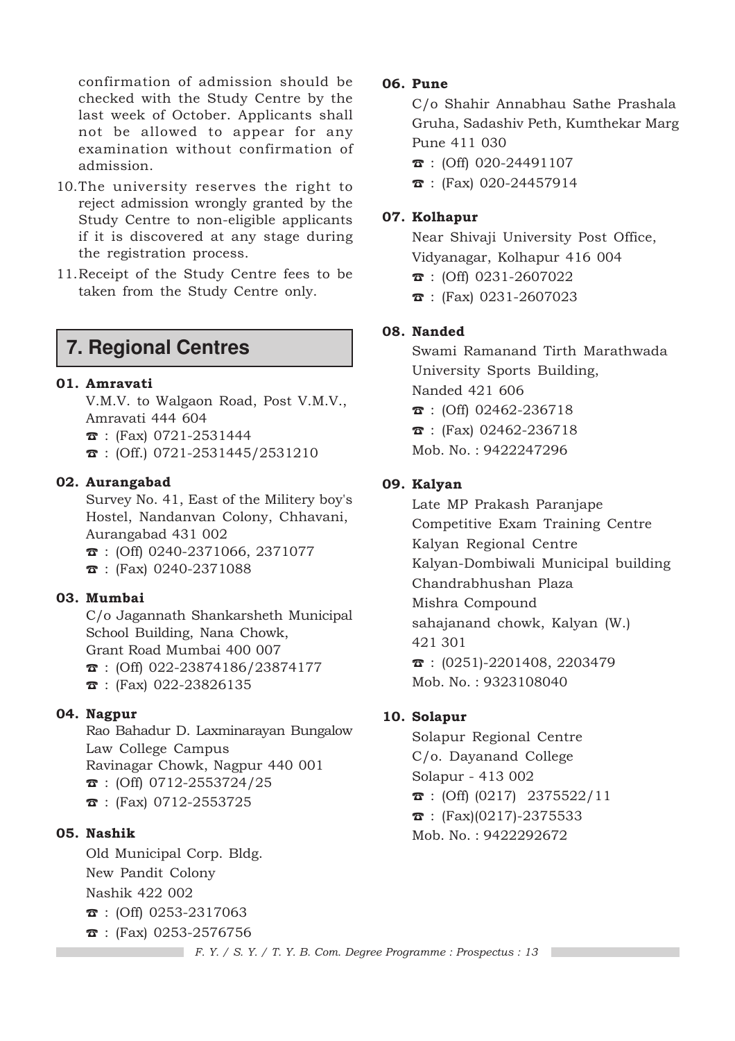confirmation of admission should be checked with the Study Centre by the last week of October. Applicants shall not be allowed to appear for any examination without confirmation of admission.

- 10.The university reserves the right to reject admission wrongly granted by the Study Centre to non-eligible applicants if it is discovered at any stage during the registration process.
- 11.Receipt of the Study Centre fees to be taken from the Study Centre only.

### **7. Regional Centres**

#### 01. Amravati

V.M.V. to Walgaon Road, Post V.M.V., Amravati 444 604  $\hat{z}$  : (Fax) 0721-2531444  $\textbf{B}$  : (Off.) 0721-2531445/2531210

#### 02. Aurangabad

Survey No. 41, East of the Militery boy's Hostel, Nandanvan Colony, Chhavani, Aurangabad 431 002  $\hat{\mathbf{B}}$  : (Off) 0240-2371066, 2371077

 $\bar{x}$  : (Fax) 0240-2371088

#### 03. Mumbai

C/o Jagannath Shankarsheth Municipal School Building, Nana Chowk, Grant Road Mumbai 400 007  $\mathbf{\hat{a}}$  : (Off) 022-23874186/23874177 ☎ : (Fax) 022-23826135

#### 04. Nagpur

Rao Bahadur D. Laxminarayan Bungalow Law College Campus Ravinagar Chowk, Nagpur 440 001  $\textbf{B}$  : (Off) 0712-2553724/25 ☎ : (Fax) 0712-2553725

#### 05. Nashik

Old Municipal Corp. Bldg. New Pandit Colony Nashik 422 002 ☎ : (Off) 0253-2317063  $\bar{x}$  : (Fax) 0253-2576756

#### 06. Pune

C/o Shahir Annabhau Sathe Prashala Gruha, Sadashiv Peth, Kumthekar Marg Pune 411 030  $\bar{x}$  : (Off) 020-24491107

☎ : (Fax) 020-24457914

#### 07. Kolhapur

Near Shivaji University Post Office, Vidyanagar, Kolhapur 416 004 ☎ : (Off) 0231-2607022 ☎ : (Fax) 0231-2607023

#### 08. Nanded

Swami Ramanand Tirth Marathwada University Sports Building, Nanded 421 606  $\text{ }$  : (Off) 02462-236718  $\bar{x}$  : (Fax) 02462-236718 Mob. No. : 9422247296

#### 09. Kalyan

Late MP Prakash Paranjape Competitive Exam Training Centre Kalyan Regional Centre Kalyan-Dombiwali Municipal building Chandrabhushan Plaza Mishra Compound sahajanand chowk, Kalyan (W.) 421 301  $\mathbf{\hat{z}}$  : (0251)-2201408, 2203479 Mob. No. : 9323108040

#### 10. Solapur

Solapur Regional Centre C/o. Dayanand College Solapur - 413 002  $\hat{\mathbf{z}}$  : (Off) (0217) 2375522/11  $\hat{\mathbf{z}}$  : (Fax)(0217)-2375533 Mob. No. : 9422292672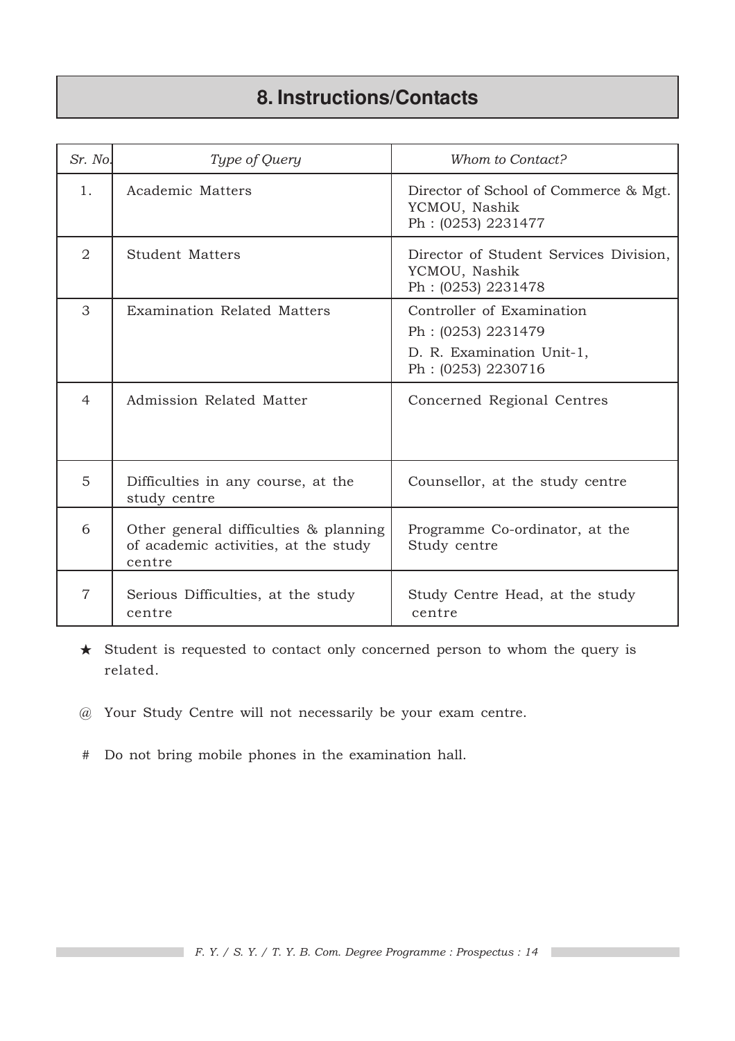# **8. Instructions/Contacts**

| Sr. No.        | Type of Query                                                                           | Whom to Contact?                                                                                   |
|----------------|-----------------------------------------------------------------------------------------|----------------------------------------------------------------------------------------------------|
| 1.             | Academic Matters                                                                        | Director of School of Commerce & Mgt.<br>YCMOU, Nashik<br>Ph: (0253) 2231477                       |
| $\overline{2}$ | <b>Student Matters</b>                                                                  | Director of Student Services Division,<br>YCMOU, Nashik<br>Ph: (0253) 2231478                      |
| 3              | <b>Examination Related Matters</b>                                                      | Controller of Examination<br>Ph: (0253) 2231479<br>D. R. Examination Unit-1,<br>Ph: (0253) 2230716 |
| $\overline{4}$ | Admission Related Matter                                                                | Concerned Regional Centres                                                                         |
| 5              | Difficulties in any course, at the<br>study centre                                      | Counsellor, at the study centre                                                                    |
| 6              | Other general difficulties & planning<br>of academic activities, at the study<br>centre | Programme Co-ordinator, at the<br>Study centre                                                     |
| $\overline{7}$ | Serious Difficulties, at the study<br>centre                                            | Study Centre Head, at the study<br>centre                                                          |

★ Student is requested to contact only concerned person to whom the query is related.

- @ Your Study Centre will not necessarily be your exam centre.
- # Do not bring mobile phones in the examination hall.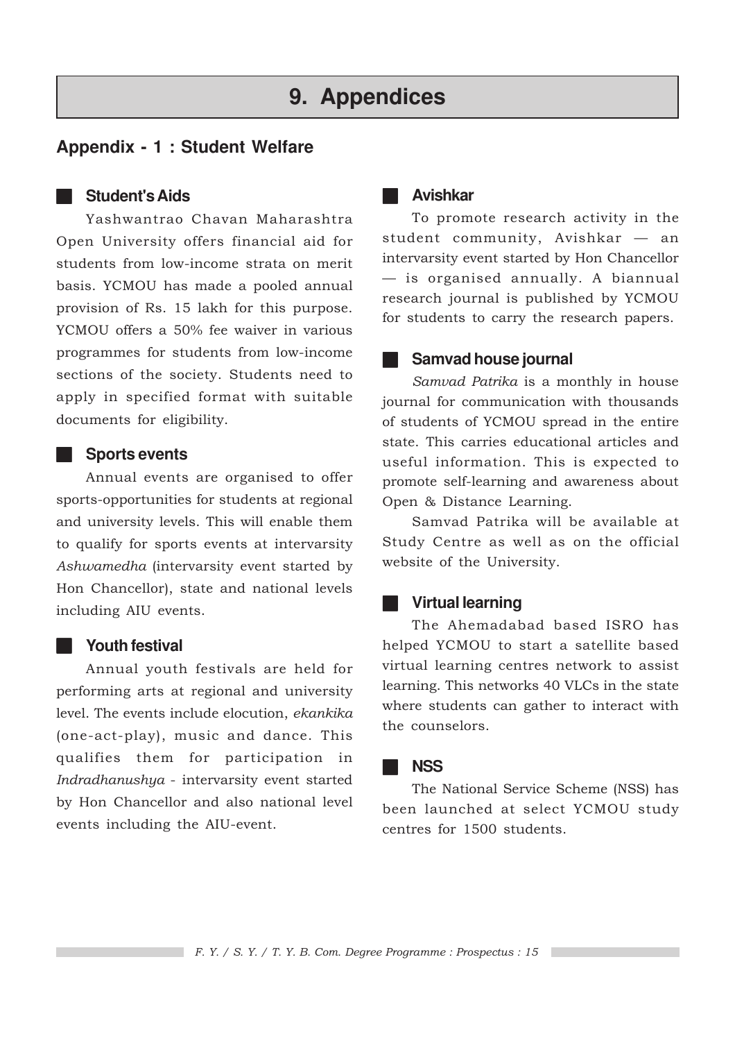## **9. Appendices**

### **Appendix - 1 : Student Welfare**

#### ■ **Student's Aids**

Yashwantrao Chavan Maharashtra Open University offers financial aid for students from low-income strata on merit basis. YCMOU has made a pooled annual provision of Rs. 15 lakh for this purpose. YCMOU offers a 50% fee waiver in various programmes for students from low-income sections of the society. Students need to apply in specified format with suitable documents for eligibility.

#### ■ **Sports events**

Annual events are organised to offer sports-opportunities for students at regional and university levels. This will enable them to qualify for sports events at intervarsity Ashwamedha (intervarsity event started by Hon Chancellor), state and national levels including AIU events.

#### ■ **Youth festival**

Annual youth festivals are held for performing arts at regional and university level. The events include elocution, ekankika (one-act-play), music and dance. This qualifies them for participation in Indradhanushya - intervarsity event started by Hon Chancellor and also national level events including the AIU-event.

#### ■ **Avishkar**

To promote research activity in the student community, Avishkar — an intervarsity event started by Hon Chancellor — is organised annually. A biannual research journal is published by YCMOU for students to carry the research papers.

#### **Samvad house journal**

Samvad Patrika is a monthly in house journal for communication with thousands of students of YCMOU spread in the entire state. This carries educational articles and useful information. This is expected to promote self-learning and awareness about Open & Distance Learning.

Samvad Patrika will be available at Study Centre as well as on the official website of the University.

#### ■ **Virtual learning**

The Ahemadabad based ISRO has helped YCMOU to start a satellite based virtual learning centres network to assist learning. This networks 40 VLCs in the state where students can gather to interact with the counselors.

#### ■ **NSS**

The National Service Scheme (NSS) has been launched at select YCMOU study centres for 1500 students.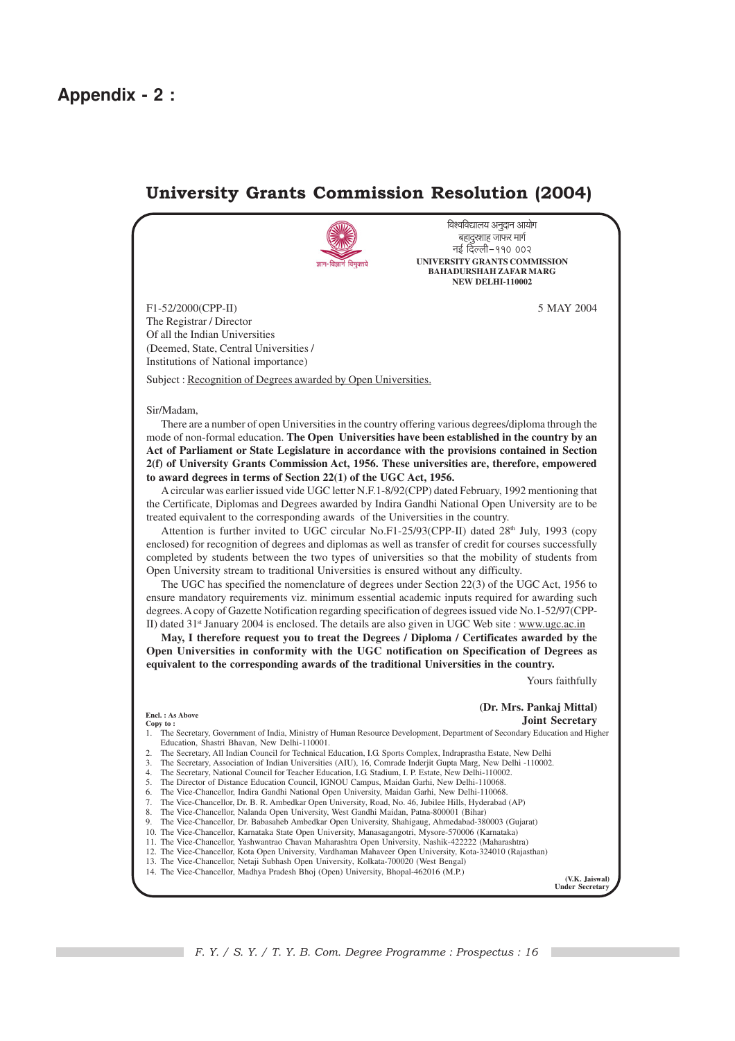### University Grants Commission Resolution (2004)



विश्वविद्यालय अनुदान आयोग बहादूरशाह जाफर मार्ग नई दिल्ली-११० ००२ **UNIVERSITY GRANTS COMMISSION BAHADURSHAH ZAFAR MARG NEW DELHI-110002**

F1-52/2000(CPP-II) 5 MAY 2004 The Registrar / Director Of all the Indian Universities (Deemed, State, Central Universities / Institutions of National importance)

Subject : Recognition of Degrees awarded by Open Universities.

#### Sir/Madam,

There are a number of open Universities in the country offering various degrees/diploma through the mode of non-formal education. **The Open Universities have been established in the country by an Act of Parliament or State Legislature in accordance with the provisions contained in Section 2(f) of University Grants Commission Act, 1956. These universities are, therefore, empowered to award degrees in terms of Section 22(1) of the UGC Act, 1956.**

A circular was earlier issued vide UGC letter N.F.1-8/92(CPP) dated February, 1992 mentioning that the Certificate, Diplomas and Degrees awarded by Indira Gandhi National Open University are to be treated equivalent to the corresponding awards of the Universities in the country.

Attention is further invited to UGC circular No.F1-25/93(CPP-II) dated  $28<sup>th</sup>$  July, 1993 (copy enclosed) for recognition of degrees and diplomas as well as transfer of credit for courses successfully completed by students between the two types of universities so that the mobility of students from Open University stream to traditional Universities is ensured without any difficulty.

The UGC has specified the nomenclature of degrees under Section 22(3) of the UGC Act, 1956 to ensure mandatory requirements viz. minimum essential academic inputs required for awarding such degrees. A copy of Gazette Notification regarding specification of degrees issued vide No.1-52/97(CPP-II) dated 31st January 2004 is enclosed. The details are also given in UGC Web site : www.ugc.ac.in

**May, I therefore request you to treat the Degrees / Diploma / Certificates awarded by the Open Universities in conformity with the UGC notification on Specification of Degrees as equivalent to the corresponding awards of the traditional Universities in the country.**

Yours faithfully

**(Dr. Mrs. Pankaj Mittal) Joint Secretary**

**Encl. : As Above Copy to :**

#### 1. The Secretary, Government of India, Ministry of Human Resource Development, Department of Secondary Education and Higher Education, Shastri Bhavan, New Delhi-110001.

2. The Secretary, All Indian Council for Technical Education, I.G. Sports Complex, Indraprastha Estate, New Delhi

3. The Secretary, Association of Indian Universities (AIU), 16, Comrade Inderjit Gupta Marg, New Delhi -110002.

- The Secretary, National Council for Teacher Education, I.G. Stadium, I. P. Estate, New Delhi-110002. 5. The Director of Distance Education Council, IGNOU Campus, Maidan Garhi, New Delhi-110068.
- 6. The Vice-Chancellor, Indira Gandhi National Open University, Maidan Garhi, New Delhi-110068.

7. The Vice-Chancellor, Dr. B. R. Ambedkar Open University, Road, No. 46, Jubilee Hills, Hyderabad (AP)

8. The Vice-Chancellor, Nalanda Open University, West Gandhi Maidan, Patna-800001 (Bihar)

9. The Vice-Chancellor, Dr. Babasaheb Ambedkar Open University, Shahigaug, Ahmedabad-380003 (Gujarat)

10. The Vice-Chancellor, Karnataka State Open University, Manasagangotri, Mysore-570006 (Karnataka)

- 11. The Vice-Chancellor, Yashwantrao Chavan Maharashtra Open University, Nashik-422222 (Maharashtra) 12. The Vice-Chancellor, Kota Open University, Vardhaman Mahaveer Open University, Kota-324010 (Rajasthan)
- 13. The Vice-Chancellor, Netaji Subhash Open University, Kolkata-700020 (West Bengal)
- 14. The Vice-Chancellor, Madhya Pradesh Bhoj (Open) University, Bhopal-462016 (M.P.)

**(V.K. Jaiswal) Under Secretary**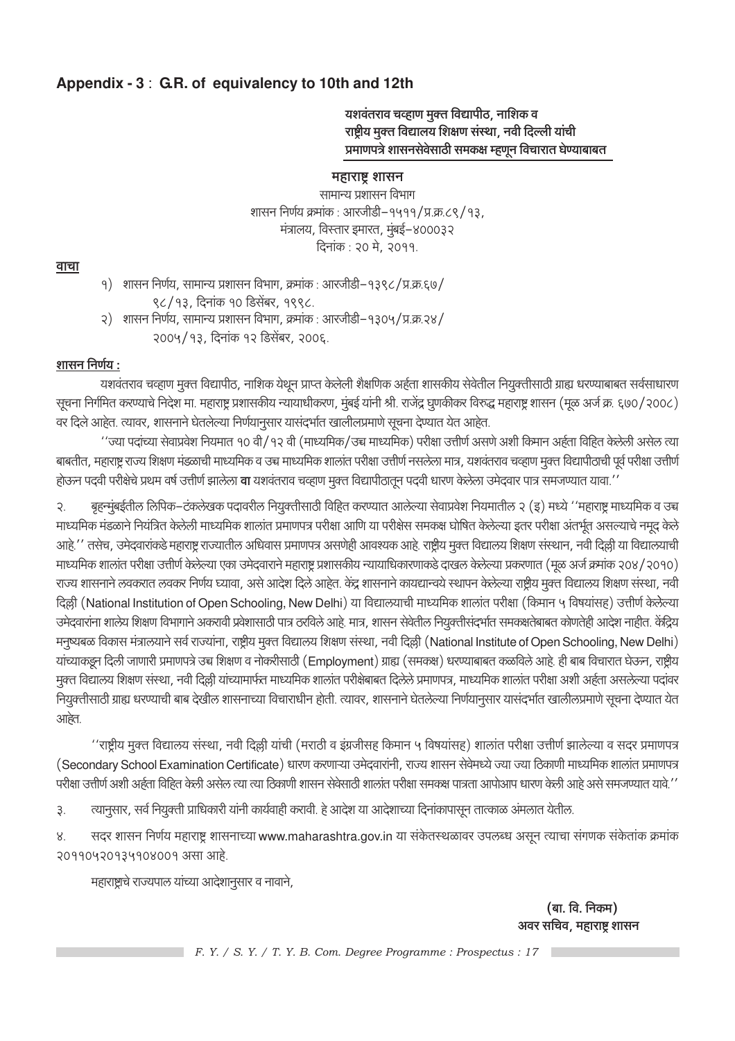### Appendix - 3 : G.R. of equivalency to 10th and 12th

यशवंतराव चव्हाण मुक्त विद्यापीठ, नाशिक व राष्ट्रीय मुक्त विद्यालय शिक्षण संस्था, नवी दिल्ली यांची प्रमाणपत्रे शासनसेवेसाठी समकक्ष म्हणून विचारात घेण्याबाबत

#### महाराष्ट्र शासन

सामान्य प्रशासन विभाग शासन निर्णय क्रमांक: आरजीडी-१५११/प्र.क्र.८९/१३, मंत्रालय, विस्तार इमारत, मुंबई-४०००३२ दिनांक : २० मे, २०११.

#### वाचा

- १) शासन निर्णय, सामान्य प्रशासन विभाग, क्रमांक : आरजीडी–१३९८/प्र.क्र.६७/ ९८/१३, दिनांक १० डिसेंबर, १९९८.
- शासन निर्णय, सामान्य प्रशासन विभाग, क्रमांक : आरजीडी–१३०५/प्र.क्र.२४/ २) २००५/१३, दिनांक १२ डिसेंबर, २००६.

#### शासन निर्णय :

यशवंतराव चव्हाण मूक्त विद्यापीठ, नाशिक येथून प्राप्त केलेली शैक्षणिक अर्हता शासकीय सेवेतील नियुक्तीसाठी ग्राह्य धरण्याबाबत सर्वसाधारण सूचना निर्गमित करण्याचे निदेश मा. महाराष्ट्र प्रशासकीय न्यायाधीकरण, मुंबई यांनी श्री. राजेंद्र घुणकीकर विरुद्ध महाराष्ट्र शासन (मूळ अर्ज क्र. ६७०/२००८) वर दिले आहेत. त्यावर, शासनाने घेतलेल्या निर्णयानुसार यासंदर्भात खालीलप्रमाणे सूचना देण्यात येत आहेत.

''ज्या पदांच्या सेवाप्रवेश नियमात १० वी/१२ वी (माध्यमिक/उच्च माध्यमिक) परीक्षा उत्तीर्ण असणे अशी किमान अर्हता विहित केलेली असेल त्या बाबतीत, महाराष्ट्र राज्य शिक्षण मंडळाची माध्यमिक व उच्च माध्यमिक शालांत परीक्षा उत्तीर्ण नसलेला मात्र, यशवंतराव चव्हाण मुक्त विद्यापीठाची पूर्व परीक्षा उत्तीर्ण होऊन पदवी परीक्षेचे प्रथम वर्ष उत्तीर्ण झालेला **वा** यशवंतराव चव्हाण मुक्त विद्यापीठातून पदवी धारण केलेला उमेदवार पात्र समजण्यात यावा.''

बृहन्मुंबई्तील लिपिक–टंकलेखक पदावरील नियुक्तीसाठी विहित करण्यात आलेल्या सेवाप्रवेश नियमातील २ (इ) मध्ये ''महाराष्ट्र माध्यमिक व उच्च २. माध्यमिक मंडळाने नियंत्रित केलेली माध्यमिक शालांत प्रमाणपत्र परीक्षा आणि या परीक्षेस समकक्ष घोषित केलेल्या इतर परीक्षा अंतर्भूत असल्याचे नमूद केले आहे.'' तसेच, उमेदवारांकडे महाराष्ट्र राज्यातील अधिवास प्रमाणपत्र असणेही आवश्यक आहे. राष्ट्रीय मुक्त विद्यालय शिक्षण संस्थान, नवी दिल्ली या विद्यालयाची माध्यमिक शालांत परीक्षा उत्तीर्ण केलेल्या एका उमेदवाराने महाराष्ट्र प्रशासकीय न्यायाधिकारणाकडे दाखल केलेल्या प्रकरणात (मूळ अर्ज क्रमांक २०४/२०१०) राज्य शासनाने लवकरात लवकर निर्णय घ्यावा, असे आदेश दिले आहेत. केंद्र शासनाने कायद्यान्वये स्थापन केलेल्या राष्ट्रीय मुक्त विद्यालय शिक्षण संस्था, नवी दिल्ली (National Institution of Open Schooling, New Delhi) या विद्यालयाची माध्यमिक शालांत परीक्षा (किमान ५ विषयांसह) उत्तीर्ण केलेल्या उमेदवारांना शालेय शिक्षण विभागाने अकरावी प्रवेशासाठी पात्र ठरविले आहे. मात्र, शासन सेवेतील नियुक्तीसंदर्भात समकक्षतेबाबत कोणतेही आदेश नाहीत. केंद्रिय मनुष्यबळ विकास मंत्रालयाने सर्व राज्यांना, राष्ट्रीय मुक्त विद्यालय शिक्षण संस्था, नवी दिल्ली (National Institute of Open Schooling, New Delhi) यांच्याकडून दिली जाणारी प्रमाणपत्रे उच्च शिक्षण व नोकरीसाठी (Employment) ग्राह्य (समकक्ष) धरण्याबाबत कळविले आहे. ही बाब विचारात घेऊन, राष्ट्रीय मुक्त विद्यालय शिक्षण संस्था, नवी दिल्ली यांच्यामार्फत माध्यमिक शालांत परीक्षेबाबत दिलेले प्रमाणपत्र, माध्यमिक शालांत परीक्षा अशी अर्हता असलेल्या पदांवर नियुक्तीसाठी ग्राह्य धरण्याची बाब देखील शासनाच्या विचाराधीन होती. त्यावर, शासनाने घेतलेल्या निर्णयानुसार यासंदर्भात खालीलप्रमाणे सूचना देण्यात येत आहेत.

''राष्ट्रीय मूक्त विद्यालय संस्था, नवी दिल्ली यांची (मराठी व इंग्रजीसह किमान ५ विषयांसह) शालांत परीक्षा उत्तीर्ण झालेल्या व सदर प्रमाणपत्र (Secondary School Examination Certificate) धारण करणाऱ्या उमेदवारांनी, राज्य शासन सेवेमध्ये ज्या ज्या ठिकाणी माध्यमिक शालांत प्रमाणपत्र परीक्षा उत्तीर्ण अशी अर्हता विहित केली असेल त्या त्या ठिकाणी शासन सेवेसाठी शालांत परीक्षा समकक्ष पात्रता आपोआप धारण केली आहे असे समजण्यात यावे.''

त्यानुसार, सर्व नियुक्ती प्राधिकारी यांनी कार्यवाही करावी. हे आदेश या आदेशाच्या दिनांकापासून तात्काळ अंमलात येतील. 3.

सदर शासन निर्णय महाराष्ट्र शासनाच्या www.maharashtra.gov.in या संकेतस्थळावर उपलब्ध असून त्याचा संगणक संकेतांक क्रमांक 8. २०११०५२०१३५१०४००१ असा आहे.

महाराष्ट्राचे राज्यपाल यांच्या आदेशानुसार व नावाने,

(बा. वि. निकम) अवर सचिव, महाराष्ट्र शासन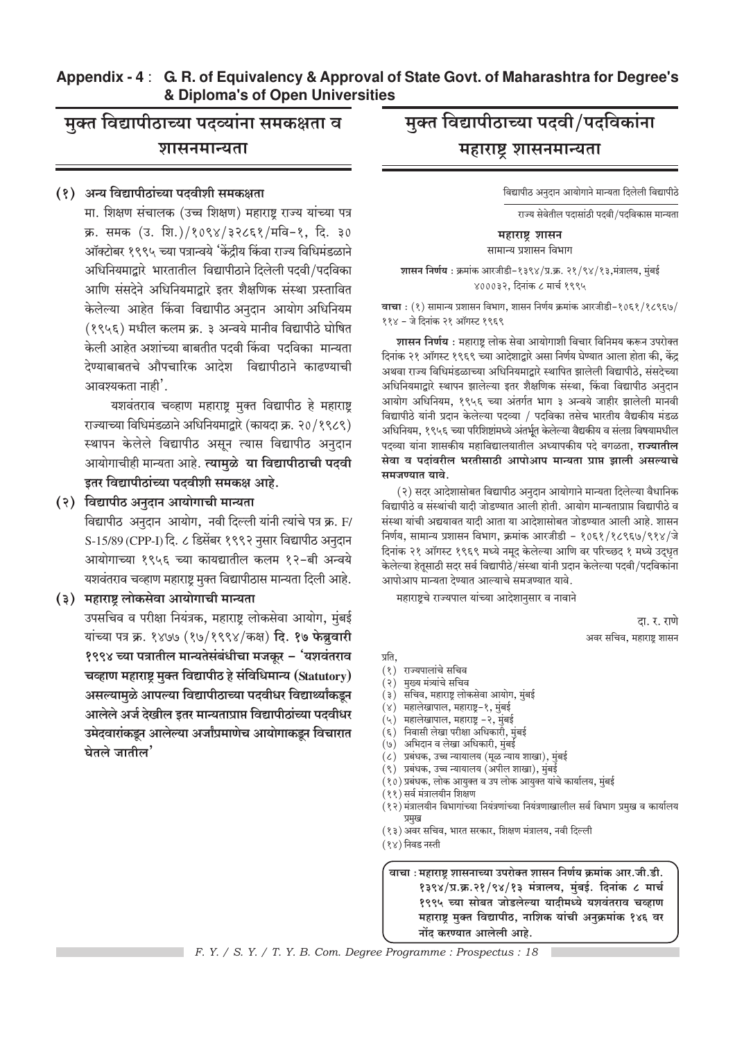#### Appendix - 4: G. R. of Equivalency & Approval of State Govt. of Maharashtra for Degree's & Diploma's of Open Universities

## मुक्त विद्यापीठाच्या पदव्यांना समकक्षता व शासनमान्यता

#### (१) अन्य विद्यापीठांच्या पदवीशी समकक्षता

मा. शिक्षण संचालक (उच्च शिक्षण) महाराष्ट्र राज्य यांच्या पत्र क्र. समक (उ. शि.)/१०९४/३२८६१/मवि-१, दि. ३० ऑक्टोबर १९९५ च्या पत्रान्वये 'केंद्रीय किंवा राज्य विधिमंडळाने अधिनियमाद्वारे भारतातील विद्यापीठाने दिलेली पदवी/पदविका आणि संसदेने अधिनियमाद्वारे इतर शैक्षणिक संस्था प्रस्तावित केलेल्या आहेत किंवा विद्यापीठ अनुदान आयोग अधिनियम (१९५६) मधील कलम क्र. ३ अन्वये मानीव विद्यापीठे घोषित केली आहेत अशांच्या बाबतीत पदवी किंवा पदविका मान्यता देण्याबाबतचे औपचारिक आदेश विद्यापीठाने काढण्याची आवश्यकता नाही'.

यशवंतराव चव्हाण महाराष्ट्र मुक्त विद्यापीठ हे महाराष्ट्र राज्याच्या विधिमंडळाने अधिनियमाद्वारे (कायदा क्र. २०/१९८९) स्थापन केलेले विद्यापीठ असून त्यास विद्यापीठ अनुदान आयोगाचीही मान्यता आहे. त्यामुळे या विद्यापीठाची पदवी इतर विद्यापीठांच्या पदवीशी समकक्ष आहे.

#### (२) विद्यापीठ अनुदान आयोगाची मान्यता

विद्यापीठ अनुदान आयोग, नवी दिल्ली यांनी त्यांचे पत्र क्र. F/ S-15/89 (CPP-I) दि. ८ डिसेंबर १९९२ नुसार विद्यापीठ अनुदान आयोगाच्या १९५६ च्या कायद्यातील कलम १२-बी अन्वये यशवंतराव चव्हाण महाराष्ट मुक्त विद्यापीठास मान्यता दिली आहे.

#### (३) महाराष्ट्र लोकसेवा आयोगाची मान्यता

उपसचिव व परीक्षा नियंत्रक, महाराष्ट्र लोकसेवा आयोग, मुंबई यांच्या पत्र क्र. १४७७ (१७/१९९४/कक्ष) दि. १७ फेब्रुवारी १९९४ च्या पत्रातील मान्यतेसंबंधीचा मजकुर – 'यशवंतराव चव्हाण महाराष्ट्र मुक्त विद्यापीठ हे संविधिमान्य (Statutory) असल्यामुळे आपल्या विद्यापीठाच्या पदवीधर विद्यार्थ्यांकडून आलेले अर्ज देखील इतर मान्यताप्राप्त विद्यापीठांच्या पदवीधर उमेदवारांकडून आलेल्या अर्जांप्रमाणेच आयोगाकडून विचारात घेतले जातील $^{\prime}$ 

## मुक्त विद्यापीठाच्या पदवी/पदविकांना महाराष्ट्र शासनमान्यता

विद्यापीठ अनुदान आयोगाने मान्यता दिलेली विद्यापीठे

राज्य सेवेतील पदासांठी पदवी/पदविकास मान्यता

महाराष्ट्र शासन सामान्य प्रशासन विभाग

शासन निर्णय: क्रमांक आरजीडी-१३९४/प्र.क्र. २१/९४/१३,मंत्रालय, मुंबई ४०००३२, दिनांक ८ मार्च १९९५

वाचा : (१) सामान्य प्रशासन विभाग, शासन निर्णय क्रमांक आरजीडी-१०६१/१८९६७/ ११४ - जे दिनांक २१ ऑगस्ट १९६९

शासन निर्णय : महाराष्ट्र लोक सेवा आयोगाशी विचार विनिमय करून उपरोक्त दिनांक २१ ऑगस्ट १९६९ च्या आदेशाद्वारे असा निर्णय घेण्यात आला होता की, केंद्र अथवा राज्य विधिमंडळाच्या अधिनियमाद्रारे स्थापित झालेली विद्यापीठे. संसदेच्या अधिनियमाद्रारे स्थापन झालेल्या इतर शैक्षणिक संस्था. किंवा विद्यापीठ अनदान आयोग अधिनियम, १९५६ च्या अंतर्गत भाग ३ अन्वये जाहीर झालेली मानवी विद्यापीठे यांनी प्रदान केलेल्या पदव्या / पदविका तसेच भारतीय वैद्यकीय मंडळ अधिनियम, १९५६ च्या परिशिष्टांमध्ये अंतर्भत केलेल्या वैद्यकीय व संलग्न विषयामधील पदव्या यांना शासकीय महाविद्यालयातील अध्यापकीय पदे वगळता**. राज्यातील** सेवा व पदांवरील भरतीसाठी आपोआप मान्यता प्राप्त झाली असल्याचे समजण्यात यावे.

(२) सदर आदेशासोबत विद्यापीठ अनुदान आयोगाने मान्यता दिलेल्या वैधानिक विद्यापीठे व संस्थांची यादी जोडण्यात आली होती. आयोग मान्यताप्राप्त विद्यापीठे व संस्था यांची अद्ययावत यादी आता या आदेशासोबत जोडण्यात आली आहे. शासन निर्णय, सामान्य प्रशासन विभाग, क्रमांक आरजीडी – १०६१/१८९६७/९१४/जे दिनांक २१ ऑगस्ट १९६९ मध्ये नमुद केलेल्या आणि वर परिच्छद १ मध्ये उदधृत केलेल्या हेतुसाठी सदर सर्व विद्यापीठे/संस्था यांनी प्रदान केलेल्या पदवी/पदविकांना आपोआप मान्यता देण्यात आल्याचे समजण्यात यावे.

महाराष्ट्रचे राज्यपाल यांच्या आदेशानुसार व नावाने

दा. र. राणे अवर सचिव, महाराष्ट्र शासन

प्रति,

- (१) राज्यपालांचे सचिव
- (२) मुख्य मंत्र्यांचे सचिव
- (३) सचिव, महाराष्ट्र लोकसेवा आयोग, मुंबई
- $(\times)$ महालेखापाल, महाराष्ट्र–१, मुंबई
- (५) महालेखापाल, महाराष्ट्र -२, मुंबई
- (६) निवासी लेखा परीक्षा अधिकारी, मुंबई
- (७) अभिदान व लेखा अधिकारी, मुंबई
- (८) प्रबंधक, उच्च न्यायालय (मळ न्याय शाखा), मंबई
- .<br>(९) प्रबंधक, उच्च न्यायालय (अपील शाखा), मुंबई
- .<br>(१०) प्रबंधक, लोक आयुक्त व उप लोक आयुक्त यांचे कार्यालय, मुंबई
- (११) सर्व मंत्रालयीन शिक्षण
- .<br>(१२) मंत्रालयीन विभागांच्या नियंत्रणांच्या नियंत्रणाखालील सर्व विभाग प्रमुख व कार्यालय प्रमख
- (१३) अवर सचिव, भारत सरकार, शिक्षण मंत्रालय, नवी दिल्ली
- (१४) निवड नस्ती

वाचा : महाराष्ट्र शासनाच्या उपरोक्त शासन निर्णय क्रमांक आर.जी.डी. १३९४/प्र.क्र.२१/९४/१३ मंत्रालय, मंबई. दिनांक ८ मार्च १९९५ च्या सोबत जोडलेल्या यादीमध्ये यशवंतराव चव्हाण महाराष्ट्र मुक्त विद्यापीठ, नाशिक यांची अनुक्रमांक १४६ वर नोंद करण्यात आलेली आहे.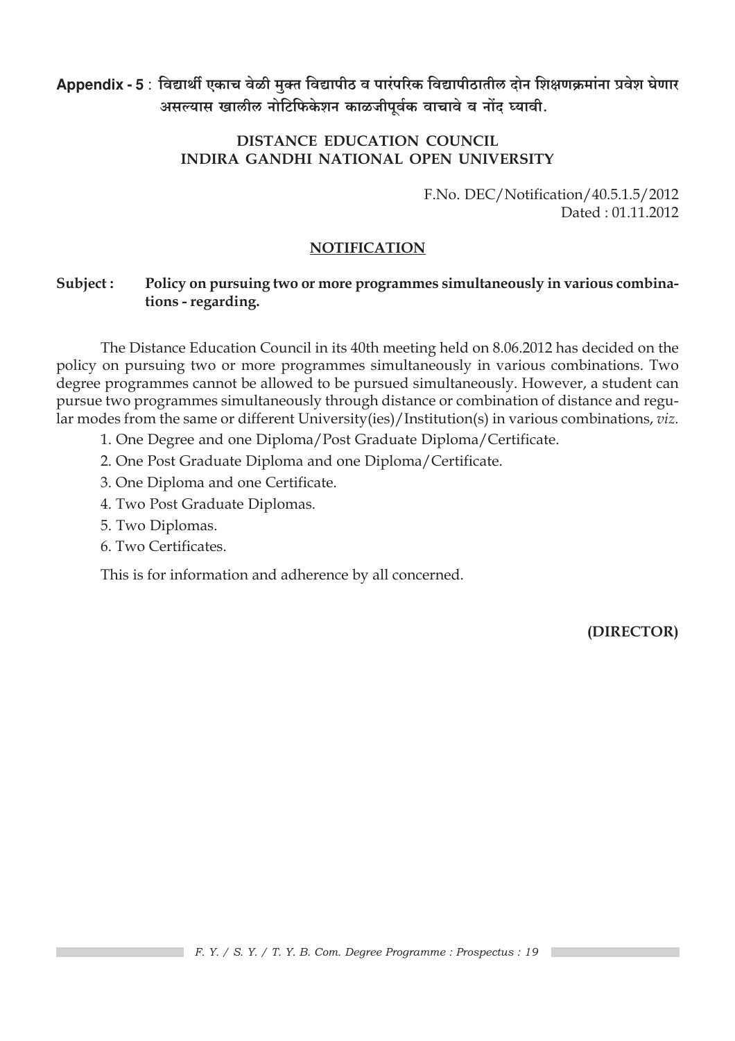Appendix - 5 : विद्यार्थी एकाच वेळी मुक्त विद्यापीठ व पारंपरिक विद्यापीठातील दोन शिक्षणक्रमांना प्रवेश घेणार असल्यास खालील नोटिफिकेशन काळजीपूर्वक वाचावे व नोंद घ्यावी.

### DISTANCE EDUCATION COUNCIL **INDIRA GANDHI NATIONAL OPEN UNIVERSITY**

F.No. DEC/Notification/40.5.1.5/2012 Dated  $\cdot$  01 11 2012

#### **NOTIFICATION**

#### Subject: Policy on pursuing two or more programmes simultaneously in various combinations - regarding.

The Distance Education Council in its 40th meeting held on 8.06.2012 has decided on the policy on pursuing two or more programmes simultaneously in various combinations. Two degree programmes cannot be allowed to be pursued simultaneously. However, a student can pursue two programmes simultaneously through distance or combination of distance and regular modes from the same or different University(ies)/Institution(s) in various combinations, viz.

- 1. One Degree and one Diploma/Post Graduate Diploma/Certificate.
- 2. One Post Graduate Diploma and one Diploma/Certificate.
- 3. One Diploma and one Certificate.
- 4. Two Post Graduate Diplomas.
- 5. Two Diplomas.
- 6. Two Certificates.

This is for information and adherence by all concerned.

(DIRECTOR)